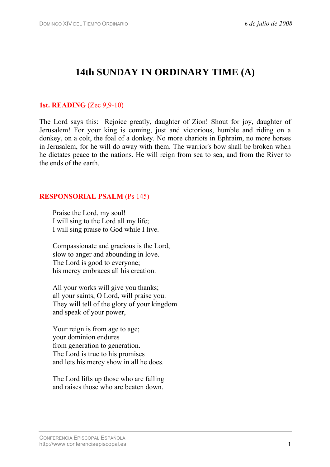# **14th SUNDAY IN ORDINARY TIME (A)**

#### **1st. READING** (Zec 9,9-10)

The Lord says this: Rejoice greatly, daughter of Zion! Shout for joy, daughter of Jerusalem! For your king is coming, just and victorious, humble and riding on a donkey, on a colt, the foal of a donkey. No more chariots in Ephraim, no more horses in Jerusalem, for he will do away with them. The warrior's bow shall be broken when he dictates peace to the nations. He will reign from sea to sea, and from the River to the ends of the earth.

#### **RESPONSORIAL PSALM** (Ps 145)

Praise the Lord, my soul! I will sing to the Lord all my life; I will sing praise to God while I live.

Compassionate and gracious is the Lord, slow to anger and abounding in love. The Lord is good to everyone; his mercy embraces all his creation.

All your works will give you thanks; all your saints, O Lord, will praise you. They will tell of the glory of your kingdom and speak of your power,

Your reign is from age to age; your dominion endures from generation to generation. The Lord is true to his promises and lets his mercy show in all he does.

The Lord lifts up those who are falling and raises those who are beaten down.